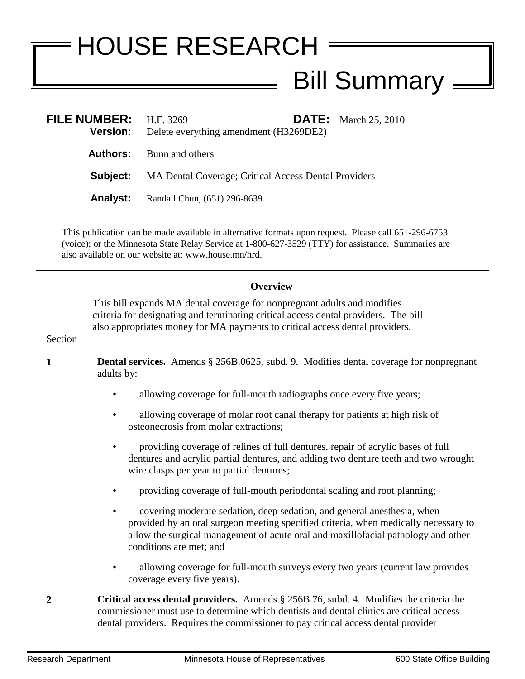## HOUSE RESEARCH - Bill Summary –

| FILE NUMBER: $H.F. 3269$<br><b>Version:</b> | Delete everything amendment (H3269DE2)                               |  | <b>DATE:</b> March 25, 2010 |
|---------------------------------------------|----------------------------------------------------------------------|--|-----------------------------|
|                                             | <b>Authors:</b> Bunn and others                                      |  |                             |
|                                             | <b>Subject:</b> MA Dental Coverage; Critical Access Dental Providers |  |                             |
| <b>Analyst:</b>                             | Randall Chun, (651) 296-8639                                         |  |                             |

This publication can be made available in alternative formats upon request. Please call 651-296-6753 (voice); or the Minnesota State Relay Service at 1-800-627-3529 (TTY) for assistance. Summaries are also available on our website at: www.house.mn/hrd.

## **Overview**

This bill expands MA dental coverage for nonpregnant adults and modifies criteria for designating and terminating critical access dental providers. The bill also appropriates money for MA payments to critical access dental providers.

## Section

- **1 Dental services.** Amends § 256B.0625, subd. 9. Modifies dental coverage for nonpregnant adults by:
	- allowing coverage for full-mouth radiographs once every five years;
	- allowing coverage of molar root canal therapy for patients at high risk of osteonecrosis from molar extractions;
	- providing coverage of relines of full dentures, repair of acrylic bases of full dentures and acrylic partial dentures, and adding two denture teeth and two wrought wire clasps per year to partial dentures;
	- providing coverage of full-mouth periodontal scaling and root planning;
	- covering moderate sedation, deep sedation, and general anesthesia, when provided by an oral surgeon meeting specified criteria, when medically necessary to allow the surgical management of acute oral and maxillofacial pathology and other conditions are met; and
	- allowing coverage for full-mouth surveys every two years (current law provides coverage every five years).
- **2 Critical access dental providers.** Amends § 256B.76, subd. 4. Modifies the criteria the commissioner must use to determine which dentists and dental clinics are critical access dental providers. Requires the commissioner to pay critical access dental provider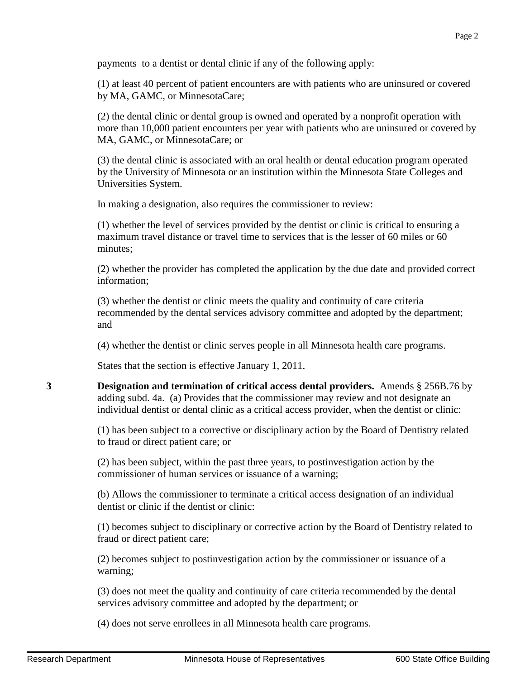payments to a dentist or dental clinic if any of the following apply:

(1) at least 40 percent of patient encounters are with patients who are uninsured or covered by MA, GAMC, or MinnesotaCare;

(2) the dental clinic or dental group is owned and operated by a nonprofit operation with more than 10,000 patient encounters per year with patients who are uninsured or covered by MA, GAMC, or MinnesotaCare; or

(3) the dental clinic is associated with an oral health or dental education program operated by the University of Minnesota or an institution within the Minnesota State Colleges and Universities System.

In making a designation, also requires the commissioner to review:

(1) whether the level of services provided by the dentist or clinic is critical to ensuring a maximum travel distance or travel time to services that is the lesser of 60 miles or 60 minutes;

(2) whether the provider has completed the application by the due date and provided correct information;

(3) whether the dentist or clinic meets the quality and continuity of care criteria recommended by the dental services advisory committee and adopted by the department; and

(4) whether the dentist or clinic serves people in all Minnesota health care programs.

States that the section is effective January 1, 2011.

**3 Designation and termination of critical access dental providers.** Amends § 256B.76 by adding subd. 4a. (a) Provides that the commissioner may review and not designate an individual dentist or dental clinic as a critical access provider, when the dentist or clinic:

> (1) has been subject to a corrective or disciplinary action by the Board of Dentistry related to fraud or direct patient care; or

(2) has been subject, within the past three years, to postinvestigation action by the commissioner of human services or issuance of a warning;

(b) Allows the commissioner to terminate a critical access designation of an individual dentist or clinic if the dentist or clinic:

(1) becomes subject to disciplinary or corrective action by the Board of Dentistry related to fraud or direct patient care;

(2) becomes subject to postinvestigation action by the commissioner or issuance of a warning;

(3) does not meet the quality and continuity of care criteria recommended by the dental services advisory committee and adopted by the department; or

(4) does not serve enrollees in all Minnesota health care programs.